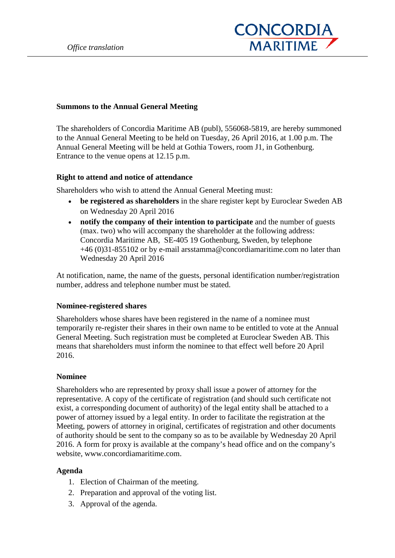

### **Summons to the Annual General Meeting**

The shareholders of Concordia Maritime AB (publ), 556068-5819, are hereby summoned to the Annual General Meeting to be held on Tuesday, 26 April 2016, at 1.00 p.m. The Annual General Meeting will be held at Gothia Towers, room J1, in Gothenburg. Entrance to the venue opens at 12.15 p.m.

### **Right to attend and notice of attendance**

Shareholders who wish to attend the Annual General Meeting must:

- **be registered as shareholders** in the share register kept by Euroclear Sweden AB on Wednesday 20 April 2016
- **notify the company of their intention to participate** and the number of guests (max. two) who will accompany the shareholder at the following address: Concordia Maritime AB, SE-405 19 Gothenburg, Sweden, by telephone +46 (0)31-855102 or by e-mail arsstamma@concordiamaritime.com no later than Wednesday 20 April 2016

At notification, name, the name of the guests, personal identification number/registration number, address and telephone number must be stated.

### **Nominee-registered shares**

Shareholders whose shares have been registered in the name of a nominee must temporarily re-register their shares in their own name to be entitled to vote at the Annual General Meeting. Such registration must be completed at Euroclear Sweden AB. This means that shareholders must inform the nominee to that effect well before 20 April 2016.

### **Nominee**

Shareholders who are represented by proxy shall issue a power of attorney for the representative. A copy of the certificate of registration (and should such certificate not exist, a corresponding document of authority) of the legal entity shall be attached to a power of attorney issued by a legal entity. In order to facilitate the registration at the Meeting, powers of attorney in original, certificates of registration and other documents of authority should be sent to the company so as to be available by Wednesday 20 April 2016. A form for proxy is available at the company's head office and on the company's website, www.concordiamaritime.com.

### **Agenda**

- 1. Election of Chairman of the meeting.
- 2. Preparation and approval of the voting list.
- 3. Approval of the agenda.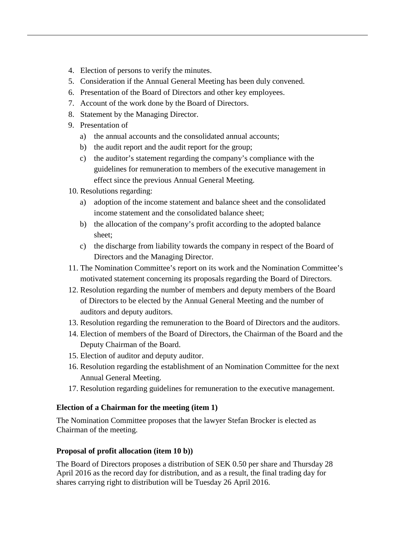- 4. Election of persons to verify the minutes.
- 5. Consideration if the Annual General Meeting has been duly convened.
- 6. Presentation of the Board of Directors and other key employees.
- 7. Account of the work done by the Board of Directors.
- 8. Statement by the Managing Director.
- 9. Presentation of
	- a) the annual accounts and the consolidated annual accounts;
	- b) the audit report and the audit report for the group;
	- c) the auditor's statement regarding the company's compliance with the guidelines for remuneration to members of the executive management in effect since the previous Annual General Meeting.
- 10. Resolutions regarding:
	- a) adoption of the income statement and balance sheet and the consolidated income statement and the consolidated balance sheet;
	- b) the allocation of the company's profit according to the adopted balance sheet;
	- c) the discharge from liability towards the company in respect of the Board of Directors and the Managing Director.
- 11. The Nomination Committee's report on its work and the Nomination Committee's motivated statement concerning its proposals regarding the Board of Directors.
- 12. Resolution regarding the number of members and deputy members of the Board of Directors to be elected by the Annual General Meeting and the number of auditors and deputy auditors.
- 13. Resolution regarding the remuneration to the Board of Directors and the auditors.
- 14. Election of members of the Board of Directors, the Chairman of the Board and the Deputy Chairman of the Board.
- 15. Election of auditor and deputy auditor.
- 16. Resolution regarding the establishment of an Nomination Committee for the next Annual General Meeting.
- 17. Resolution regarding guidelines for remuneration to the executive management.

# **Election of a Chairman for the meeting (item 1)**

The Nomination Committee proposes that the lawyer Stefan Brocker is elected as Chairman of the meeting.

# **Proposal of profit allocation (item 10 b))**

The Board of Directors proposes a distribution of SEK 0.50 per share and Thursday 28 April 2016 as the record day for distribution, and as a result, the final trading day for shares carrying right to distribution will be Tuesday 26 April 2016.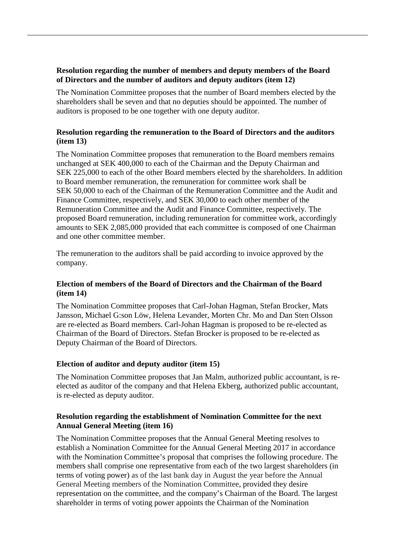# **Resolution regarding the number of members and deputy members of the Board of Directors and the number of auditors and deputy auditors (item 12)**

The Nomination Committee proposes that the number of Board members elected by the shareholders shall be seven and that no deputies should be appointed. The number of auditors is proposed to be one together with one deputy auditor.

# **Resolution regarding the remuneration to the Board of Directors and the auditors (item 13)**

The Nomination Committee proposes that remuneration to the Board members remains unchanged at SEK 400,000 to each of the Chairman and the Deputy Chairman and SEK 225,000 to each of the other Board members elected by the shareholders. In addition to Board member remuneration, the remuneration for committee work shall be SEK 50,000 to each of the Chairman of the Remuneration Committee and the Audit and Finance Committee, respectively, and SEK 30,000 to each other member of the Remuneration Committee and the Audit and Finance Committee, respectively. The proposed Board remuneration, including remuneration for committee work, accordingly amounts to SEK 2,085,000 provided that each committee is composed of one Chairman and one other committee member.

The remuneration to the auditors shall be paid according to invoice approved by the company.

# **Election of members of the Board of Directors and the Chairman of the Board (item 14)**

The Nomination Committee proposes that Carl-Johan Hagman, Stefan Brocker, Mats Jansson, Michael G:son Löw, Helena Levander, Morten Chr. Mo and Dan Sten Olsson are re-elected as Board members. Carl-Johan Hagman is proposed to be re-elected as Chairman of the Board of Directors. Stefan Brocker is proposed to be re-elected as Deputy Chairman of the Board of Directors.

# **Election of auditor and deputy auditor (item 15)**

The Nomination Committee proposes that Jan Malm, authorized public accountant, is reelected as auditor of the company and that Helena Ekberg, authorized public accountant, is re-elected as deputy auditor.

# **Resolution regarding the establishment of Nomination Committee for the next Annual General Meeting (item 16)**

The Nomination Committee proposes that the Annual General Meeting resolves to establish a Nomination Committee for the Annual General Meeting 2017 in accordance with the Nomination Committee's proposal that comprises the following procedure. The members shall comprise one representative from each of the two largest shareholders (in terms of voting power) as of the last bank day in August the year before the Annual General Meeting members of the Nomination Committee, provided they desire representation on the committee, and the company's Chairman of the Board. The largest shareholder in terms of voting power appoints the Chairman of the Nomination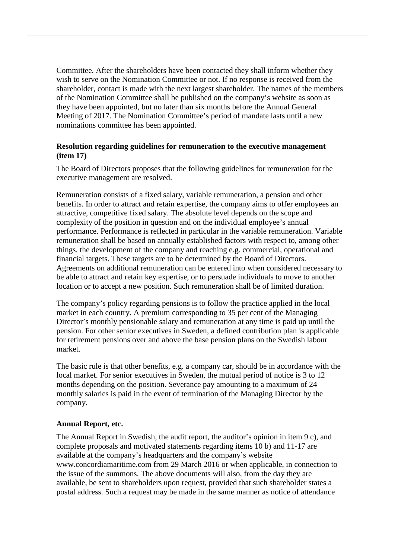Committee. After the shareholders have been contacted they shall inform whether they wish to serve on the Nomination Committee or not. If no response is received from the shareholder, contact is made with the next largest shareholder. The names of the members of the Nomination Committee shall be published on the company's website as soon as they have been appointed, but no later than six months before the Annual General Meeting of 2017. The Nomination Committee's period of mandate lasts until a new nominations committee has been appointed.

### **Resolution regarding guidelines for remuneration to the executive management (item 17)**

The Board of Directors proposes that the following guidelines for remuneration for the executive management are resolved.

Remuneration consists of a fixed salary, variable remuneration, a pension and other benefits. In order to attract and retain expertise, the company aims to offer employees an attractive, competitive fixed salary. The absolute level depends on the scope and complexity of the position in question and on the individual employee's annual performance. Performance is reflected in particular in the variable remuneration. Variable remuneration shall be based on annually established factors with respect to, among other things, the development of the company and reaching e.g. commercial, operational and financial targets. These targets are to be determined by the Board of Directors. Agreements on additional remuneration can be entered into when considered necessary to be able to attract and retain key expertise, or to persuade individuals to move to another location or to accept a new position. Such remuneration shall be of limited duration.

The company's policy regarding pensions is to follow the practice applied in the local market in each country. A premium corresponding to 35 per cent of the Managing Director's monthly pensionable salary and remuneration at any time is paid up until the pension. For other senior executives in Sweden, a defined contribution plan is applicable for retirement pensions over and above the base pension plans on the Swedish labour market.

The basic rule is that other benefits, e.g. a company car, should be in accordance with the local market. For senior executives in Sweden, the mutual period of notice is 3 to 12 months depending on the position. Severance pay amounting to a maximum of 24 monthly salaries is paid in the event of termination of the Managing Director by the company.

### **Annual Report, etc.**

The Annual Report in Swedish, the audit report, the auditor's opinion in item 9 c), and complete proposals and motivated statements regarding items 10 b) and 11-17 are available at the company's headquarters and the company's website www.concordiamaritime.com from 29 March 2016 or when applicable, in connection to the issue of the summons. The above documents will also, from the day they are available, be sent to shareholders upon request, provided that such shareholder states a postal address. Such a request may be made in the same manner as notice of attendance